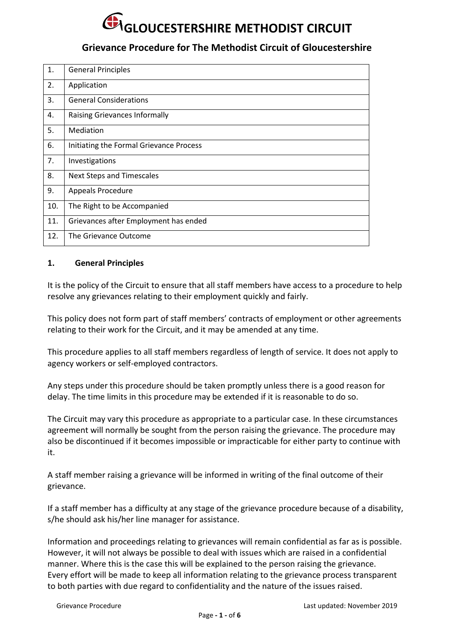### **Grievance Procedure for The Methodist Circuit of Gloucestershire**

| 1.  | <b>General Principles</b>               |
|-----|-----------------------------------------|
| 2.  | Application                             |
| 3.  | <b>General Considerations</b>           |
| 4.  | Raising Grievances Informally           |
| 5.  | Mediation                               |
| 6.  | Initiating the Formal Grievance Process |
| 7.  | Investigations                          |
| 8.  | <b>Next Steps and Timescales</b>        |
| 9.  | <b>Appeals Procedure</b>                |
| 10. | The Right to be Accompanied             |
| 11. | Grievances after Employment has ended   |
| 12. | The Grievance Outcome                   |

### **1. General Principles**

It is the policy of the Circuit to ensure that all staff members have access to a procedure to help resolve any grievances relating to their employment quickly and fairly.

This policy does not form part of staff members' contracts of employment or other agreements relating to their work for the Circuit, and it may be amended at any time.

This procedure applies to all staff members regardless of length of service. It does not apply to agency workers or self-employed contractors.

Any steps under this procedure should be taken promptly unless there is a good reason for delay. The time limits in this procedure may be extended if it is reasonable to do so.

The Circuit may vary this procedure as appropriate to a particular case. In these circumstances agreement will normally be sought from the person raising the grievance. The procedure may also be discontinued if it becomes impossible or impracticable for either party to continue with it.

A staff member raising a grievance will be informed in writing of the final outcome of their grievance.

If a staff member has a difficulty at any stage of the grievance procedure because of a disability, s/he should ask his/her line manager for assistance.

Information and proceedings relating to grievances will remain confidential as far as is possible. However, it will not always be possible to deal with issues which are raised in a confidential manner. Where this is the case this will be explained to the person raising the grievance. Every effort will be made to keep all information relating to the grievance process transparent to both parties with due regard to confidentiality and the nature of the issues raised.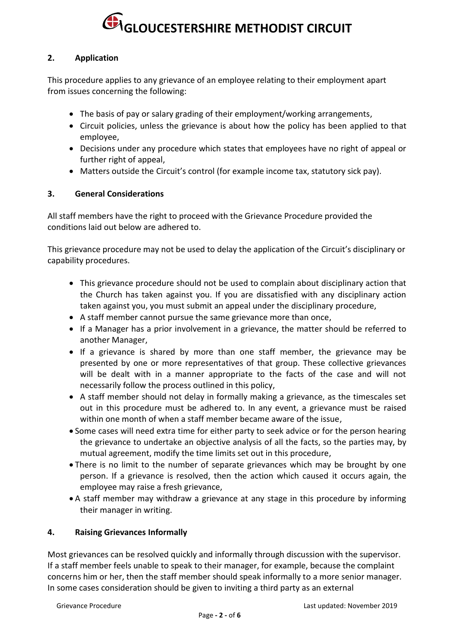### **2. Application**

This procedure applies to any grievance of an employee relating to their employment apart from issues concerning the following:

- The basis of pay or salary grading of their employment/working arrangements,
- Circuit policies, unless the grievance is about how the policy has been applied to that employee,
- Decisions under any procedure which states that employees have no right of appeal or further right of appeal,
- Matters outside the Circuit's control (for example income tax, statutory sick pay).

### **3. General Considerations**

All staff members have the right to proceed with the Grievance Procedure provided the conditions laid out below are adhered to.

This grievance procedure may not be used to delay the application of the Circuit's disciplinary or capability procedures.

- This grievance procedure should not be used to complain about disciplinary action that the Church has taken against you. If you are dissatisfied with any disciplinary action taken against you, you must submit an appeal under the disciplinary procedure,
- A staff member cannot pursue the same grievance more than once,
- If a Manager has a prior involvement in a grievance, the matter should be referred to another Manager,
- If a grievance is shared by more than one staff member, the grievance may be presented by one or more representatives of that group. These collective grievances will be dealt with in a manner appropriate to the facts of the case and will not necessarily follow the process outlined in this policy,
- A staff member should not delay in formally making a grievance, as the timescales set out in this procedure must be adhered to. In any event, a grievance must be raised within one month of when a staff member became aware of the issue,
- Some cases will need extra time for either party to seek advice or for the person hearing the grievance to undertake an objective analysis of all the facts, so the parties may, by mutual agreement, modify the time limits set out in this procedure,
- There is no limit to the number of separate grievances which may be brought by one person. If a grievance is resolved, then the action which caused it occurs again, the employee may raise a fresh grievance,
- A staff member may withdraw a grievance at any stage in this procedure by informing their manager in writing.

### **4. Raising Grievances Informally**

Most grievances can be resolved quickly and informally through discussion with the supervisor. If a staff member feels unable to speak to their manager, for example, because the complaint concerns him or her, then the staff member should speak informally to a more senior manager. In some cases consideration should be given to inviting a third party as an external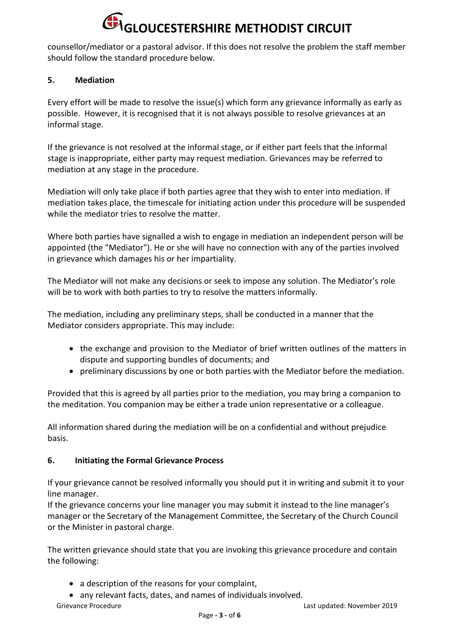counsellor/mediator or a pastoral advisor. If this does not resolve the problem the staff member should follow the standard procedure below.

### **5. Mediation**

Every effort will be made to resolve the issue(s) which form any grievance informally as early as possible. However, it is recognised that it is not always possible to resolve grievances at an informal stage.

If the grievance is not resolved at the informal stage, or if either part feels that the informal stage is inappropriate, either party may request mediation. Grievances may be referred to mediation at any stage in the procedure.

Mediation will only take place if both parties agree that they wish to enter into mediation. If mediation takes place, the timescale for initiating action under this procedure will be suspended while the mediator tries to resolve the matter.

Where both parties have signalled a wish to engage in mediation an independent person will be appointed (the "Mediator"). He or she will have no connection with any of the parties involved in grievance which damages his or her impartiality.

The Mediator will not make any decisions or seek to impose any solution. The Mediator's role will be to work with both parties to try to resolve the matters informally.

The mediation, including any preliminary steps, shall be conducted in a manner that the Mediator considers appropriate. This may include:

- the exchange and provision to the Mediator of brief written outlines of the matters in dispute and supporting bundles of documents; and
- preliminary discussions by one or both parties with the Mediator before the mediation.

Provided that this is agreed by all parties prior to the mediation, you may bring a companion to the meditation. You companion may be either a trade union representative or a colleague.

All information shared during the mediation will be on a confidential and without prejudice basis.

### **6. Initiating the Formal Grievance Process**

If your grievance cannot be resolved informally you should put it in writing and submit it to your line manager.

If the grievance concerns your line manager you may submit it instead to the line manager's manager or the Secretary of the Management Committee, the Secretary of the Church Council or the Minister in pastoral charge.

The written grievance should state that you are invoking this grievance procedure and contain the following:

- a description of the reasons for your complaint,
- any relevant facts, dates, and names of individuals involved.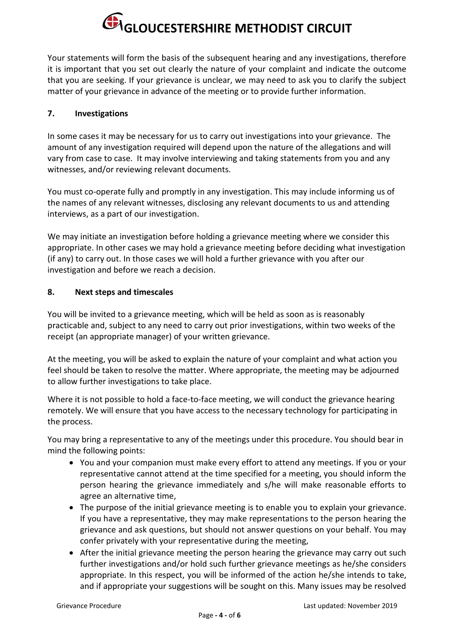Your statements will form the basis of the subsequent hearing and any investigations, therefore it is important that you set out clearly the nature of your complaint and indicate the outcome that you are seeking. If your grievance is unclear, we may need to ask you to clarify the subject matter of your grievance in advance of the meeting or to provide further information.

### **7. Investigations**

In some cases it may be necessary for us to carry out investigations into your grievance. The amount of any investigation required will depend upon the nature of the allegations and will vary from case to case. It may involve interviewing and taking statements from you and any witnesses, and/or reviewing relevant documents.

You must co-operate fully and promptly in any investigation. This may include informing us of the names of any relevant witnesses, disclosing any relevant documents to us and attending interviews, as a part of our investigation.

We may initiate an investigation before holding a grievance meeting where we consider this appropriate. In other cases we may hold a grievance meeting before deciding what investigation (if any) to carry out. In those cases we will hold a further grievance with you after our investigation and before we reach a decision.

### **8. Next steps and timescales**

You will be invited to a grievance meeting, which will be held as soon as is reasonably practicable and, subject to any need to carry out prior investigations, within two weeks of the receipt (an appropriate manager) of your written grievance.

At the meeting, you will be asked to explain the nature of your complaint and what action you feel should be taken to resolve the matter. Where appropriate, the meeting may be adjourned to allow further investigations to take place.

Where it is not possible to hold a face-to-face meeting, we will conduct the grievance hearing remotely. We will ensure that you have access to the necessary technology for participating in the process.

You may bring a representative to any of the meetings under this procedure. You should bear in mind the following points:

- You and your companion must make every effort to attend any meetings. If you or your representative cannot attend at the time specified for a meeting, you should inform the person hearing the grievance immediately and s/he will make reasonable efforts to agree an alternative time,
- The purpose of the initial grievance meeting is to enable you to explain your grievance. If you have a representative, they may make representations to the person hearing the grievance and ask questions, but should not answer questions on your behalf. You may confer privately with your representative during the meeting,
- After the initial grievance meeting the person hearing the grievance may carry out such further investigations and/or hold such further grievance meetings as he/she considers appropriate. In this respect, you will be informed of the action he/she intends to take, and if appropriate your suggestions will be sought on this. Many issues may be resolved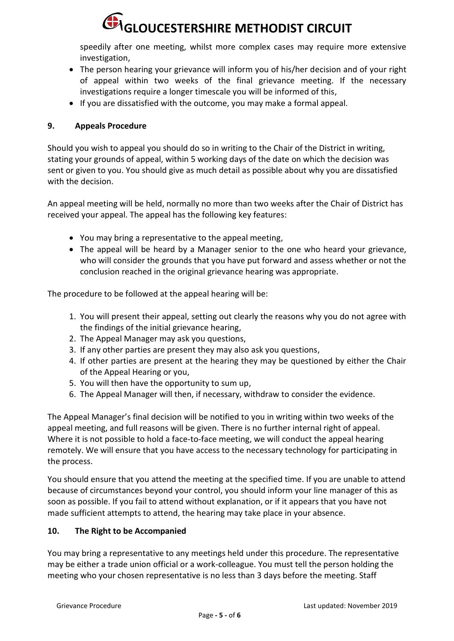speedily after one meeting, whilst more complex cases may require more extensive investigation,

- The person hearing your grievance will inform you of his/her decision and of your right of appeal within two weeks of the final grievance meeting. If the necessary investigations require a longer timescale you will be informed of this,
- If you are dissatisfied with the outcome, you may make a formal appeal.

### **9. Appeals Procedure**

Should you wish to appeal you should do so in writing to the Chair of the District in writing, stating your grounds of appeal, within 5 working days of the date on which the decision was sent or given to you. You should give as much detail as possible about why you are dissatisfied with the decision.

An appeal meeting will be held, normally no more than two weeks after the Chair of District has received your appeal. The appeal has the following key features:

- You may bring a representative to the appeal meeting,
- The appeal will be heard by a Manager senior to the one who heard your grievance, who will consider the grounds that you have put forward and assess whether or not the conclusion reached in the original grievance hearing was appropriate.

The procedure to be followed at the appeal hearing will be:

- 1. You will present their appeal, setting out clearly the reasons why you do not agree with the findings of the initial grievance hearing,
- 2. The Appeal Manager may ask you questions,
- 3. If any other parties are present they may also ask you questions,
- 4. If other parties are present at the hearing they may be questioned by either the Chair of the Appeal Hearing or you,
- 5. You will then have the opportunity to sum up,
- 6. The Appeal Manager will then, if necessary, withdraw to consider the evidence.

The Appeal Manager's final decision will be notified to you in writing within two weeks of the appeal meeting, and full reasons will be given. There is no further internal right of appeal. Where it is not possible to hold a face-to-face meeting, we will conduct the appeal hearing remotely. We will ensure that you have access to the necessary technology for participating in the process.

You should ensure that you attend the meeting at the specified time. If you are unable to attend because of circumstances beyond your control, you should inform your line manager of this as soon as possible. If you fail to attend without explanation, or if it appears that you have not made sufficient attempts to attend, the hearing may take place in your absence.

### **10. The Right to be Accompanied**

You may bring a representative to any meetings held under this procedure. The representative may be either a trade union official or a work-colleague. You must tell the person holding the meeting who your chosen representative is no less than 3 days before the meeting. Staff